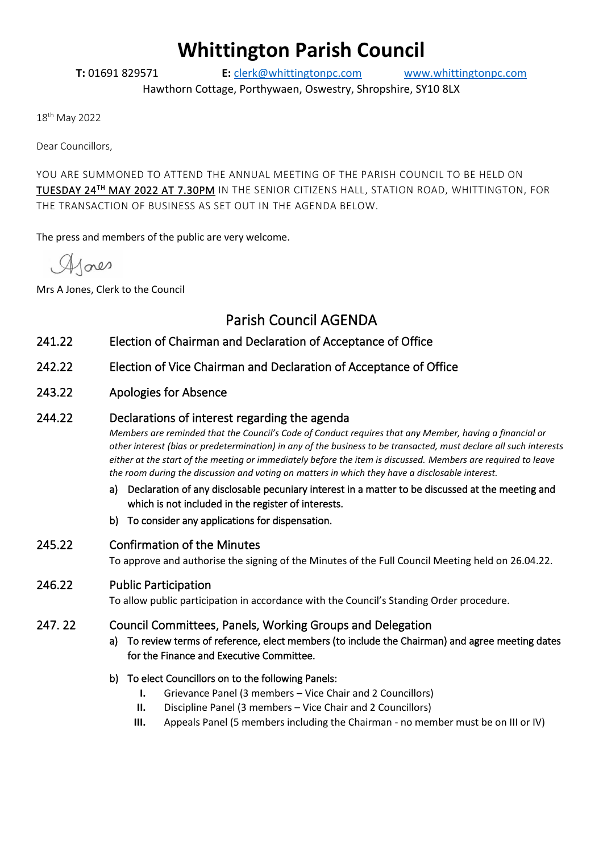# **Whittington Parish Council**

**T:** 01691 829571 **E:** [clerk@whittingtonpc.com](mailto:clerk@whittingtonpc.com) [www.whittingtonpc.com](http://www.whittingtonpc.com/)

Hawthorn Cottage, Porthywaen, Oswestry, Shropshire, SY10 8LX

18th May 2022

Dear Councillors,

YOU ARE SUMMONED TO ATTEND THE ANNUAL MEETING OF THE PARISH COUNCIL TO BE HELD ON TUESDAY 24 TH MAY 2022 AT 7.30PM IN THE SENIOR CITIZENS HALL, STATION ROAD, WHITTINGTON, FOR THE TRANSACTION OF BUSINESS AS SET OUT IN THE AGENDA BELOW.

The press and members of the public are very welcome.

 $A$ aes

Mrs A Jones, Clerk to the Council

# Parish Council AGENDA

- 241.22 Election of Chairman and Declaration of Acceptance of Office
- 242.22 Election of Vice Chairman and Declaration of Acceptance of Office
- 243.22 Apologies for Absence

# 244.22 Declarations of interest regarding the agenda

*Members are reminded that the Council's Code of Conduct requires that any Member, having a financial or other interest (bias or predetermination) in any of the business to be transacted, must declare all such interests either at the start of the meeting or immediately before the item is discussed. Members are required to leave the room during the discussion and voting on matters in which they have a disclosable interest.*

- a) Declaration of any disclosable pecuniary interest in a matter to be discussed at the meeting and which is not included in the register of interests.
- b) To consider any applications for dispensation.
- 245.22 Confirmation of the Minutes

To approve and authorise the signing of the Minutes of the Full Council Meeting held on 26.04.22.

# 246.22 Public Participation

To allow public participation in accordance with the Council's Standing Order procedure.

### 247. 22 Council Committees, Panels, Working Groups and Delegation

- a) To review terms of reference, elect members (to include the Chairman) and agree meeting dates for the Finance and Executive Committee.
- b) To elect Councillors on to the following Panels:
	- **I.** Grievance Panel (3 members Vice Chair and 2 Councillors)
	- **II.** Discipline Panel (3 members Vice Chair and 2 Councillors)
	- **III.** Appeals Panel (5 members including the Chairman no member must be on III or IV)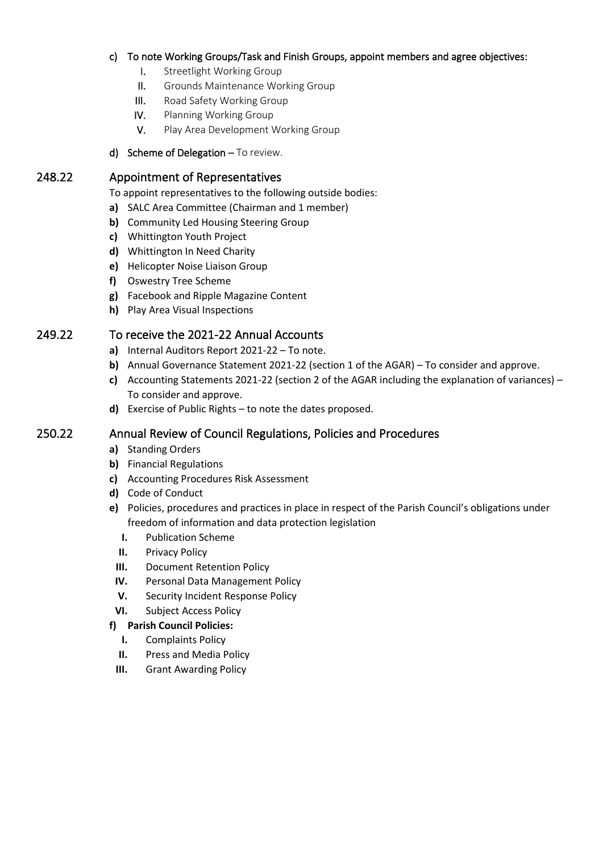### c) To note Working Groups/Task and Finish Groups, appoint members and agree objectives:

- I. Streetlight Working Group
- II. Grounds Maintenance Working Group
- III. Road Safety Working Group
- IV. Planning Working Group
- V. Play Area Development Working Group
- d) Scheme of Delegation To review.

### 248.22 Appointment of Representatives

- To appoint representatives to the following outside bodies:
- **a)** SALC Area Committee (Chairman and 1 member)
- **b)** Community Led Housing Steering Group
- **c)** Whittington Youth Project
- **d)** Whittington In Need Charity
- **e)** Helicopter Noise Liaison Group
- **f)** Oswestry Tree Scheme
- **g)** Facebook and Ripple Magazine Content
- **h)** Play Area Visual Inspections

# 249.22 To receive the 2021-22 Annual Accounts

- **a)** Internal Auditors Report 2021-22 To note.
- **b)** Annual Governance Statement 2021-22 (section 1 of the AGAR) To consider and approve.
- **c)** Accounting Statements 2021-22 (section 2 of the AGAR including the explanation of variances) To consider and approve.
- **d)** Exercise of Public Rights to note the dates proposed.

# 250.22 Annual Review of Council Regulations, Policies and Procedures

- **a)** Standing Orders
- **b)** Financial Regulations
- **c)** Accounting Procedures Risk Assessment
- **d)** Code of Conduct
- **e)** Policies, procedures and practices in place in respect of the Parish Council's obligations under freedom of information and data protection legislation
	- **I.** Publication Scheme
	- **II.** Privacy Policy
	- **III.** Document Retention Policy
	- **IV.** Personal Data Management Policy
	- **V.** Security Incident Response Policy
- **VI.** Subject Access Policy

### **f) Parish Council Policies:**

- **I.** Complaints Policy
- **II.** Press and Media Policy
- **III.** Grant Awarding Policy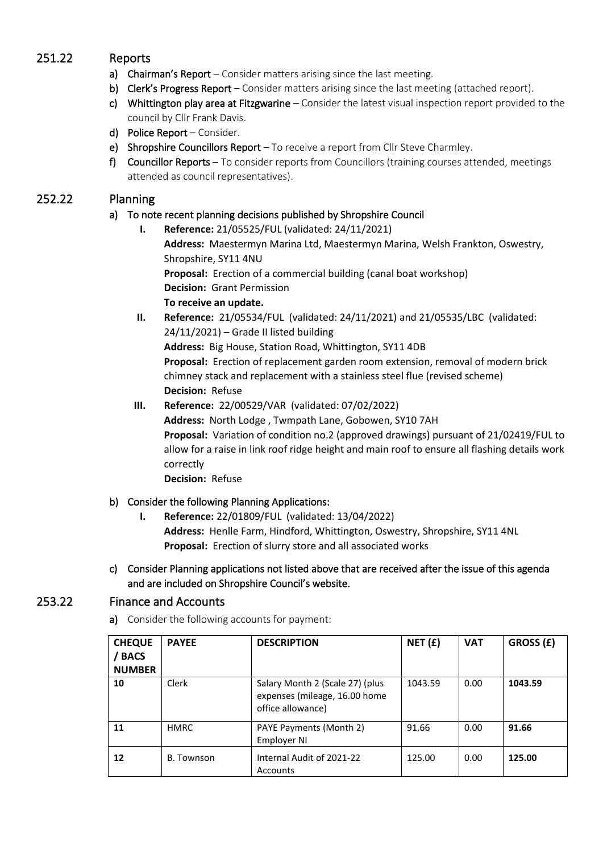# 251.22 Reports

- a) Chairman's Report Consider matters arising since the last meeting.
- b) Clerk's Progress Report Consider matters arising since the last meeting (attached report).
- c) Whittington play area at Fitzgwarine Consider the latest visual inspection report provided to the council by Cllr Frank Davis.
- d) Police Report Consider.
- e) Shropshire Councillors Report To receive a report from Cllr Steve Charmley.
- f) Councillor Reports To consider reports from Councillors (training courses attended, meetings attended as council representatives).

# 252.22 Planning

# a) To note recent planning decisions published by Shropshire Council

- **I. Reference:** 21/05525/FUL (validated: 24/11/2021) **Address:** Maestermyn Marina Ltd, Maestermyn Marina, Welsh Frankton, Oswestry, Shropshire, SY11 4NU **Proposal:** Erection of a commercial building (canal boat workshop) **Decision:** Grant Permission **To receive an update.**
- **II. Reference:** 21/05534/FUL (validated: 24/11/2021) and 21/05535/LBC (validated: 24/11/2021) – Grade II listed building **Address:** Big House, Station Road, Whittington, SY11 4DB **Proposal:** Erection of replacement garden room extension, removal of modern brick chimney stack and replacement with a stainless steel flue (revised scheme) **Decision:** Refuse
- **III. Reference:** 22/00529/VAR (validated: 07/02/2022)

**Address:** North Lodge , Twmpath Lane, Gobowen, SY10 7AH **Proposal:** Variation of condition no.2 (approved drawings) pursuant of 21/02419/FUL to allow for a raise in link roof ridge height and main roof to ensure all flashing details work correctly

**Decision:** Refuse

# b) Consider the following Planning Applications:

- **I. Reference:** 22/01809/FUL (validated: 13/04/2022) **Address:** Henlle Farm, Hindford, Whittington, Oswestry, Shropshire, SY11 4NL **Proposal:** Erection of slurry store and all associated works
- c) Consider Planning applications not listed above that are received after the issue of this agenda and are included on Shropshire Council's website.

# 253.22 Finance and Accounts

a) Consider the following accounts for payment:

| <b>CHEQUE</b><br>/ BACS<br><b>NUMBER</b> | <b>PAYEE</b> | <b>DESCRIPTION</b>                                                                    | NET(f)  | <b>VAT</b> | GROSS (£) |
|------------------------------------------|--------------|---------------------------------------------------------------------------------------|---------|------------|-----------|
| 10                                       | Clerk        | Salary Month 2 (Scale 27) (plus<br>expenses (mileage, 16.00 home<br>office allowance) | 1043.59 | 0.00       | 1043.59   |
| 11                                       | <b>HMRC</b>  | PAYE Payments (Month 2)<br>Employer NI                                                | 91.66   | 0.00       | 91.66     |
| 12                                       | B. Townson   | Internal Audit of 2021-22<br>Accounts                                                 | 125.00  | 0.00       | 125.00    |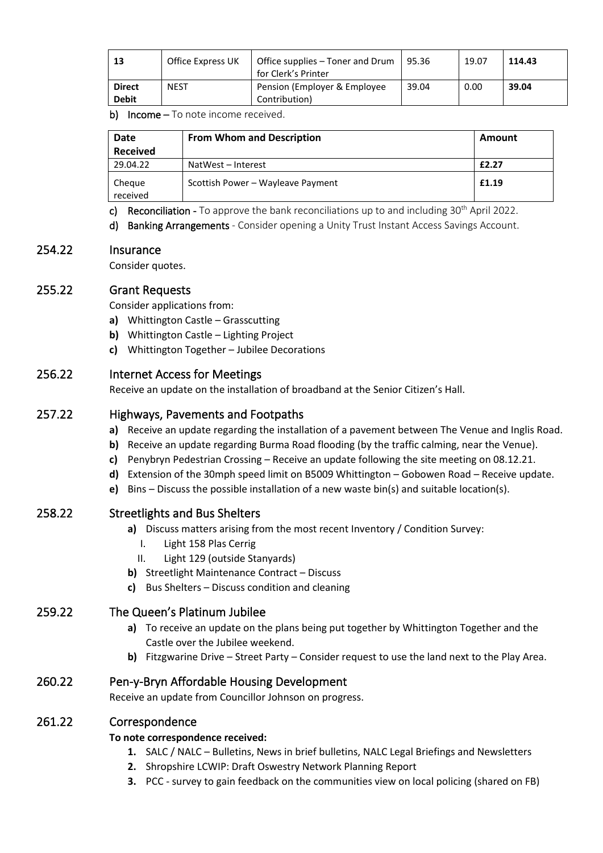| 13                            | Office Express UK | Office supplies – Toner and Drum<br>for Clerk's Printer | 95.36 | 19.07 | 114.43 |
|-------------------------------|-------------------|---------------------------------------------------------|-------|-------|--------|
| <b>Direct</b><br><b>Debit</b> | <b>NEST</b>       | Pension (Employer & Employee)<br>Contribution)          | 39.04 | 0.00  | 39.04  |

b) Income - To note income received.

| <b>Date</b>        | <b>From Whom and Description</b>  |       |
|--------------------|-----------------------------------|-------|
| <b>Received</b>    |                                   |       |
| 29.04.22           | NatWest - Interest                | £2.27 |
| Cheque<br>received | Scottish Power - Wayleave Payment | £1.19 |

c) Reconciliation - To approve the bank reconciliations up to and including 30<sup>th</sup> April 2022.

d) Banking Arrangements - Consider opening a Unity Trust Instant Access Savings Account.

### 254.22 Insurance

Consider quotes.

### 255.22 Grant Requests

Consider applications from:

- **a)** Whittington Castle Grasscutting
- **b)** Whittington Castle Lighting Project
- **c)** Whittington Together Jubilee Decorations

### 256.22 Internet Access for Meetings

Receive an update on the installation of broadband at the Senior Citizen's Hall.

### 257.22 Highways, Pavements and Footpaths

- **a)** Receive an update regarding the installation of a pavement between The Venue and Inglis Road.
- **b)** Receive an update regarding Burma Road flooding (by the traffic calming, near the Venue).
- **c)** Penybryn Pedestrian Crossing Receive an update following the site meeting on 08.12.21.
- **d)** Extension of the 30mph speed limit on B5009 Whittington Gobowen Road Receive update.
- **e)** Bins Discuss the possible installation of a new waste bin(s) and suitable location(s).

### 258.22 Streetlights and Bus Shelters

- **a)** Discuss matters arising from the most recent Inventory / Condition Survey:
	- I. Light 158 Plas Cerrig
	- II. Light 129 (outside Stanyards)
- **b)** Streetlight Maintenance Contract Discuss
- **c)** Bus Shelters Discuss condition and cleaning

### 259.22 The Queen's Platinum Jubilee

- **a)** To receive an update on the plans being put together by Whittington Together and the Castle over the Jubilee weekend.
- **b)** Fitzgwarine Drive Street Party Consider request to use the land next to the Play Area.

### 260.22 Pen-y-Bryn Affordable Housing Development

Receive an update from Councillor Johnson on progress.

### 261.22 Correspondence

### **To note correspondence received:**

- **1.** SALC / NALC Bulletins, News in brief bulletins, NALC Legal Briefings and Newsletters
- **2.** Shropshire LCWIP: Draft Oswestry Network Planning Report
- **3.** PCC survey to gain feedback on the communities view on local policing (shared on FB)